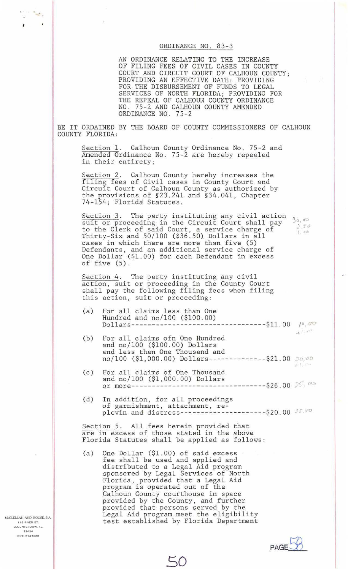## ORDINANCE NO. 83-3

AN ORDINANCE RELATING TO THE INCREASE OF FILING FEES OF CIVIL CASES IN COUNTY COURT AND CIRCUIT COURT OF CALHOUN COUNTY; PROVIDING AN EFFECTIVE DATE: PROVIDING FOR THE DISBURSEMENT OF FUNDS TO LEGAL SERVICES OF NORTH FLORIDA; PROVIDING FOR THE REPEAL OF CALHOUN COUNTY ORDINANCE NO. 75-2 AND CALHOUN COUNTY AMENDED ORDINANCE NO. 75-2

Ĵŀ.

 $250$ 

BE IT ORDAINED BY THE BOARD OF COUNTY COMMISSIONERS OF CALHOUN COUNTY FLORIDA:

Section 1. Calhoun County Ordinance No. 75-2 and Amended Ordinance No. 75-2 are hereby repealed in their entirety;

Section 2. Calhoun County hereby increases the filing fees of Civil cases in County Court and Circuit Court of Calhoun County as authorized by the provisions of §23.241 and §34.041, Chapter 74-154; Florida Statutes.

Section 3. The party instituting any civil action successing. The party instructing any criticated. to the Clerk of said Court, a service charge of to the Clerk of said Court, a service charge of<br>Thirty-Six and 50/100 (\$36.50) Dollars in all cases in which there are more than five (5) Defendants, and an additional service charge of One Dollar (\$1.00) for each Defendant in excess of five (5) .

Section 4. The party instituting any civil action, suit or proceeding in the County Court shall pay the following filing fees when filing this action, suit or proceeding:

- (a) For all claims less than One Hundred and no/100 (\$100.00)  $Dollars$ ----------------------------------\$11.00  $\ell^{\circ}$ ,  $\sigma^{\circ}$
- (b) For all claims ofn One Hundred and no/100 (\$100.00) Dollars and less than One Thousand and no/100 (\$1,000.00) Dollars---------------\$21.00 20,00  $.1.03$
- $(c)$ For all claims of One Thousand and no/100 (\$1,000.00) Dollars or more---------------------------------\$26.00 .. <' *(J\.. .....*
- (d) In addition, for all proceedings of garnishment, attachment, replevin and distress----------------------\$20.00 35.00

**.PAGEEB\_** 

Section 5. All fees herein provided that are in excess of those stated in the above Florida Statutes shall be applied as follows:

(a) One Dollar (\$1.00) of said excess fee shall be used and applied and distributed to a Legal Aid program sponsored by Legal Services of North Florida, provided that a Legal Aid program is operated out of the Calhoun County courthouse in space provided by the County, and further provided that persons served by the Legal Aid program meet the eligibility test established by Florida Department

so

McCLELLAN AND HOUSE, P.A. **119 RIVER ST.**<br>BLOUNTSTOWN, FL. **32424 t904) 674•5491** 

'